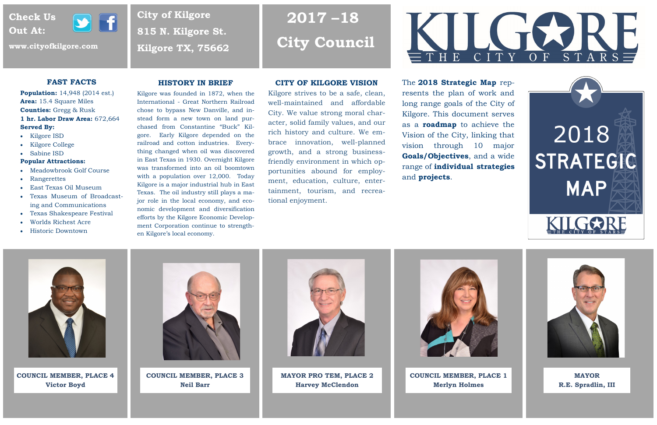# **2017 –18 City Council**

**City of Kilgore**

**815 N. Kilgore St.**

**Kilgore TX, 75662** 

# **Check Us Out At:**



**www.cityofkilgore.com**

# **CITY OF KILGORE VISION**

Kilgore strives to be a safe, clean, well-maintained and affordable City. We value strong moral character, solid family values, and our rich history and culture. We embrace innovation, well-planned growth, and a strong businessfriendly environment in which opportunities abound for employment, education, culture, entertainment, tourism, and recreational enjoyment.



**MAYOR R.E. Spradlin, III**



**COUNCIL MEMBER, PLACE 1 Merlyn Holmes**







**MAYOR PRO TEM, PLACE 2 Harvey McClendon**

**COUNCIL MEMBER, PLACE 3 Neil Barr**

**COUNCIL MEMBER, PLACE 4 Victor Boyd**



The **2018 Strategic Map** represents the plan of work and long range goals of the City of Kilgore. This document serves as a **roadmap** to achieve the Vision of the City, linking that vision through 10 major **Goals/Objectives**, and a wide range of **individual strategies** and **projects**.



# **FAST FACTS**

**Population:** 14,948 (2014 est.) **Area:** 15.4 Square Miles **Counties:** Gregg & Rusk **1 hr. Labor Draw Area:** 672,664 **Served By:** 

- Kilgore ISD
- Kilgore College
- Sabine ISD

### **Popular Attractions:**

- Meadowbrook Golf Course
- Rangerettes
- East Texas Oil Museum
- Texas Museum of Broadcasting and Communications
- Texas Shakespeare Festival
- Worlds Richest Acre
- Historic Downtown

# **HISTORY IN BRIEF**

Kilgore was founded in 1872, when the International - Great Northern Railroad chose to bypass New Danville, and instead form a new town on land purchased from Constantine "Buck" Kilgore. Early Kilgore depended on the railroad and cotton industries. Everything changed when oil was discovered in East Texas in 1930. Overnight Kilgore was transformed into an oil boomtown with a population over 12,000. Today Kilgore is a major industrial hub in East Texas. The oil industry still plays a major role in the local economy, and economic development and diversification efforts by the Kilgore Economic Development Corporation continue to strengthen Kilgore's local economy.